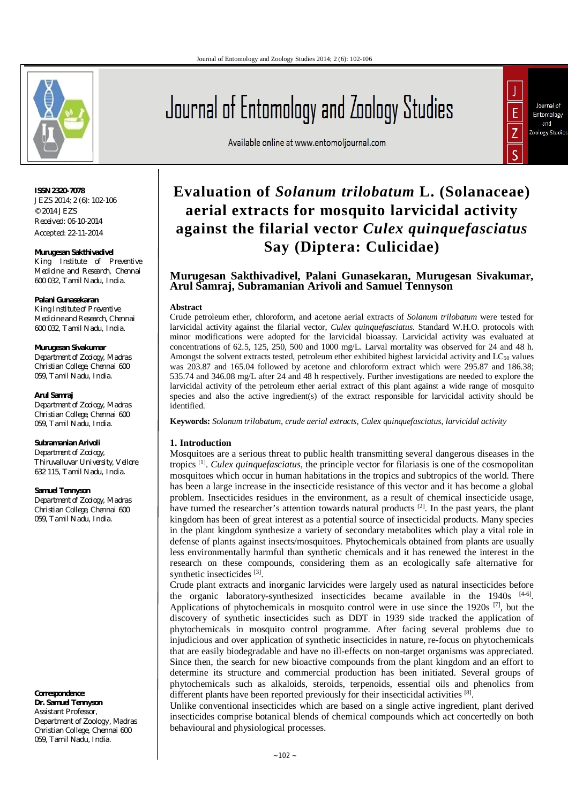

**ISSN 2320-7078** JEZS 2014; 2 (6): 102-106 © 2014 JEZS Received: 06-10-2014 Accepted: 22-11-2014

#### **Murugesan Sakthivadivel**

*King Institute of Preventive Medicine and Research, Chennai 600 032, Tamil Nadu, India.*

#### **Palani Gunasekaran**

*King Institute of Preventive Medicine and Research, Chennai 600 032, Tamil Nadu, India.*

#### **Murugesan Sivakumar**

*Department of Zoology, Madras Christian College, Chennai 600 059, Tamil Nadu, India.*

#### **Arul Samraj**

*Department of Zoology, Madras Christian College, Chennai 600 059, Tamil Nadu, India.*

# **Subramanian Arivoli**

*Department of Zoology, Thiruvalluvar University, Vellore 632 115, Tamil Nadu, India.*

#### **Samuel Tennyson**

*Department of Zoology, Madras Christian College, Chennai 600 059, Tamil Nadu, India.*

**Correspondence**: **Dr. Samuel Tennyson** Assistant Professor, Department of Zoology, Madras Christian College, Chennai 600 059, Tamil Nadu, India.

Journal of Entomology and Zoology Studies





## Available online at www.entomoljournal.com

# **Evaluation of** *Solanum trilobatum* **L. (Solanaceae) aerial extracts for mosquito larvicidal activity against the filarial vector** *Culex quinquefasciatus* **Say (Diptera: Culicidae)**

# **Murugesan Sakthivadivel, Palani Gunasekaran, Murugesan Sivakumar, Arul Samraj, Subramanian Arivoli and Samuel Tennyson**

#### **Abstract**

Crude petroleum ether, chloroform, and acetone aerial extracts of *Solanum trilobatum* were tested for larvicidal activity against the filarial vector, *Culex quinquefasciatus*. Standard W.H.O. protocols with minor modifications were adopted for the larvicidal bioassay. Larvicidal activity was evaluated at concentrations of 62.5, 125, 250, 500 and 1000 mg/L. Larval mortality was observed for 24 and 48 h. Amongst the solvent extracts tested, petroleum ether exhibited highest larvicidal activity and LC<sub>50</sub> values was 203.87 and 165.04 followed by acetone and chloroform extract which were 295.87 and 186.38; 535.74 and 346.08 mg/L after 24 and 48 h respectively. Further investigations are needed to explore the larvicidal activity of the petroleum ether aerial extract of this plant against a wide range of mosquito species and also the active ingredient(s) of the extract responsible for larvicidal activity should be identified.

**Keywords:** *Solanum trilobatum, crude aerial extracts, Culex quinquefasciatus, larvicidal activity*

# **1. Introduction**

Mosquitoes are a serious threat to public health transmitting several dangerous diseases in the tropics [1] . *Culex quinquefasciatus*, the principle vector for filariasis is one of the cosmopolitan mosquitoes which occur in human habitations in the tropics and subtropics of the world. There has been a large increase in the insecticide resistance of this vector and it has become a global problem. Insecticides residues in the environment, as a result of chemical insecticide usage, have turned the researcher's attention towards natural products <sup>[2]</sup>. In the past years, the plant kingdom has been of great interest as a potential source of insecticidal products. Many species in the plant kingdom synthesize a variety of secondary metabolites which play a vital role in defense of plants against insects/mosquitoes. Phytochemicals obtained from plants are usually less environmentally harmful than synthetic chemicals and it has renewed the interest in the research on these compounds, considering them as an ecologically safe alternative for synthetic insecticides<sup>[3]</sup>.

Crude plant extracts and inorganic larvicides were largely used as natural insecticides before the organic laboratory-synthesized insecticides became available in the 1940s <sup>[4-6]</sup>. Applications of phytochemicals in mosquito control were in use since the  $1920s$ <sup>[7]</sup>, but the discovery of synthetic insecticides such as DDT in 1939 side tracked the application of phytochemicals in mosquito control programme. After facing several problems due to injudicious and over application of synthetic insecticides in nature, re-focus on phytochemicals that are easily biodegradable and have no ill-effects on non-target organisms was appreciated. Since then, the search for new bioactive compounds from the plant kingdom and an effort to determine its structure and commercial production has been initiated. Several groups of phytochemicals such as alkaloids, steroids, terpenoids, essential oils and phenolics from different plants have been reported previously for their insecticidal activities [8].

Unlike conventional insecticides which are based on a single active ingredient, plant derived insecticides comprise botanical blends of chemical compounds which act concertedly on both behavioural and physiological processes.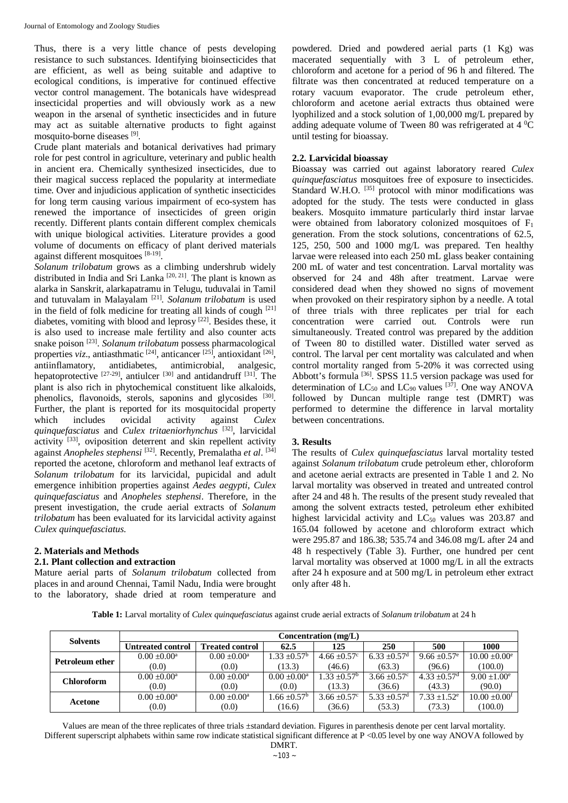Thus, there is a very little chance of pests developing resistance to such substances. Identifying bioinsecticides that are efficient, as well as being suitable and adaptive to ecological conditions, is imperative for continued effective vector control management. The botanicals have widespread insecticidal properties and will obviously work as a new weapon in the arsenal of synthetic insecticides and in future may act as suitable alternative products to fight against mosquito-borne diseases [9].

Crude plant materials and botanical derivatives had primary role for pest control in agriculture, veterinary and public health in ancient era. Chemically synthesized insecticides, due to their magical success replaced the popularity at intermediate time. Over and injudicious application of synthetic insecticides for long term causing various impairment of eco-system has renewed the importance of insecticides of green origin recently. Different plants contain different complex chemicals with unique biological activities. Literature provides a good volume of documents on efficacy of plant derived materials against different mosquitoes [8-19].

*Solanum trilobatum* grows as a climbing undershrub widely distributed in India and Sri Lanka<sup>[20, 21]</sup>. The plant is known as alarka in Sanskrit, alarkapatramu in Telugu, tuduvalai in Tamil and tutuvalam in Malayalam [21] . *Solanum trilobatum* is used in the field of folk medicine for treating all kinds of cough [21] diabetes, vomiting with blood and leprosy<sup>[22]</sup>. Besides these, it is also used to increase male fertility and also counter acts snake poison [23] . *Solanum trilobatum* possess pharmacological properties *viz*., antiasthmatic <sup>[24]</sup>, anticancer <sup>[25]</sup>, antioxidant <sup>[26]</sup>, antiinflamatory, antidiabetes, antimicrobial, analgesic, hepatoprotective  $^{[27-29]}$ , antiulcer  $^{[30]}$  and antidandruff  $^{[31]}$ . The plant is also rich in phytochemical constituent like alkaloids, phenolics, flavonoids, sterols, saponins and glycosides [30]. Further, the plant is reported for its mosquitocidal property which includes ovicidal activity against *Culex quinquefasciatus* and *Culex tritaeniorhynchus* [32] , larvicidal activity<sup>[33]</sup>, oviposition deterrent and skin repellent activity against *Anopheles stephensi* [32] . Recently, Premalatha *et al*. [34] reported the acetone, chloroform and methanol leaf extracts of *Solanum trilobatum* for its larvicidal, pupicidal and adult emergence inhibition properties against *Aedes aegypti*, *Culex quinquefasciatus* and *Anopheles stephensi*. Therefore, in the present investigation, the crude aerial extracts of *Solanum trilobatum* has been evaluated for its larvicidal activity against *Culex quinquefasciatus*.

# **2. Materials and Methods**

#### **2.1. Plant collection and extraction**

Mature aerial parts of *Solanum trilobatum* collected from places in and around Chennai, Tamil Nadu, India were brought to the laboratory, shade dried at room temperature and powdered. Dried and powdered aerial parts (1 Kg) was macerated sequentially with 3 L of petroleum ether, chloroform and acetone for a period of 96 h and filtered. The filtrate was then concentrated at reduced temperature on a rotary vacuum evaporator. The crude petroleum ether, chloroform and acetone aerial extracts thus obtained were lyophilized and a stock solution of 1,00,000 mg/L prepared by adding adequate volume of Tween 80 was refrigerated at 4  $^{0}$ C until testing for bioassay.

#### **2.2. Larvicidal bioassay**

Bioassay was carried out against laboratory reared *Culex quinquefasciatus* mosquitoes free of exposure to insecticides. Standard W.H.O. [35] protocol with minor modifications was adopted for the study. The tests were conducted in glass beakers. Mosquito immature particularly third instar larvae were obtained from laboratory colonized mosquitoes of F<sub>1</sub> generation. From the stock solutions, concentrations of 62.5, 125, 250, 500 and 1000 mg/L was prepared. Ten healthy larvae were released into each 250 mL glass beaker containing 200 mL of water and test concentration. Larval mortality was observed for 24 and 48h after treatment. Larvae were considered dead when they showed no signs of movement when provoked on their respiratory siphon by a needle. A total of three trials with three replicates per trial for each concentration were carried out. Controls were run simultaneously. Treated control was prepared by the addition of Tween 80 to distilled water. Distilled water served as control. The larval per cent mortality was calculated and when control mortality ranged from 5-20% it was corrected using Abbott's formula<sup>[36]</sup>. SPSS 11.5 version package was used for determination of  $LC_{50}$  and  $LC_{90}$  values <sup>[37]</sup>. One way ANOVA followed by Duncan multiple range test (DMRT) was performed to determine the difference in larval mortality between concentrations.

#### **3. Results**

The results of *Culex quinquefasciatus* larval mortality tested against *Solanum trilobatum* crude petroleum ether, chloroform and acetone aerial extracts are presented in Table 1 and 2. No larval mortality was observed in treated and untreated control after 24 and 48 h. The results of the present study revealed that among the solvent extracts tested, petroleum ether exhibited highest larvicidal activity and LC<sub>50</sub> values was 203.87 and 165.04 followed by acetone and chloroform extract which were 295.87 and 186.38; 535.74 and 346.08 mg/L after 24 and 48 h respectively (Table 3). Further, one hundred per cent larval mortality was observed at 1000 mg/L in all the extracts after 24 h exposure and at 500 mg/L in petroleum ether extract only after 48 h.

**Table 1:** Larval mortality of *Culex quinquefasciatus* against crude aerial extracts of *Solanum trilobatum* at 24 h

| <b>Solvents</b>   | Concentration (mg/L)     |                        |                         |                   |                            |                            |                             |
|-------------------|--------------------------|------------------------|-------------------------|-------------------|----------------------------|----------------------------|-----------------------------|
|                   | <b>Untreated control</b> | <b>Treated control</b> | 62.5                    | 125               | 250                        | 500                        | 1000                        |
| Petroleum ether   | $0.00 + 0.00^a$          | $0.00 + 0.00^a$        | $1.33 \pm 0.57^{\rm b}$ | $4.66 \pm 0.57$ ° | $6.33 + 0.57$ <sup>d</sup> | $9.66 + 0.57$ <sup>e</sup> | $10.00 + 0.00^e$            |
|                   | (0.0)                    | (0.0)                  | (13.3)                  | (46.6)            | (63.3)                     | (96.6)                     | (100.0)                     |
| <b>Chloroform</b> | $0.00 + 0.00^a$          | $0.00 + 0.00^a$        | $0.00 \pm 0.00^a$       | $1.33 + 0.57^b$   | $3.66 + 0.57$ °            | $4.33 + 0.57$ <sup>d</sup> | $9.00 + 1.00^e$             |
|                   | (0.0)                    | (0.0)                  | (0.0)                   | (13.3)            | (36.6)                     | (43.3)                     | (90.0)                      |
| Acetone           | $0.00 + 0.00^a$          | $0.00 + 0.00^a$        | $1.66 \pm 0.57^{\rm b}$ | $3.66 \pm 0.57$ ° | $5.33 + 0.57$ <sup>d</sup> | $7.33 + 1.52$ <sup>e</sup> | $10.00 + 0.00$ <sup>f</sup> |
|                   | (0.0)                    | (0.0)                  | (16.6)                  | (36.6)            | (53.3)                     | (73.3)                     | (100.0)                     |

Values are mean of the three replicates of three trials ±standard deviation. Figures in parenthesis denote per cent larval mortality. Different superscript alphabets within same row indicate statistical significant difference at P <0.05 level by one way ANOVA followed by DMRT.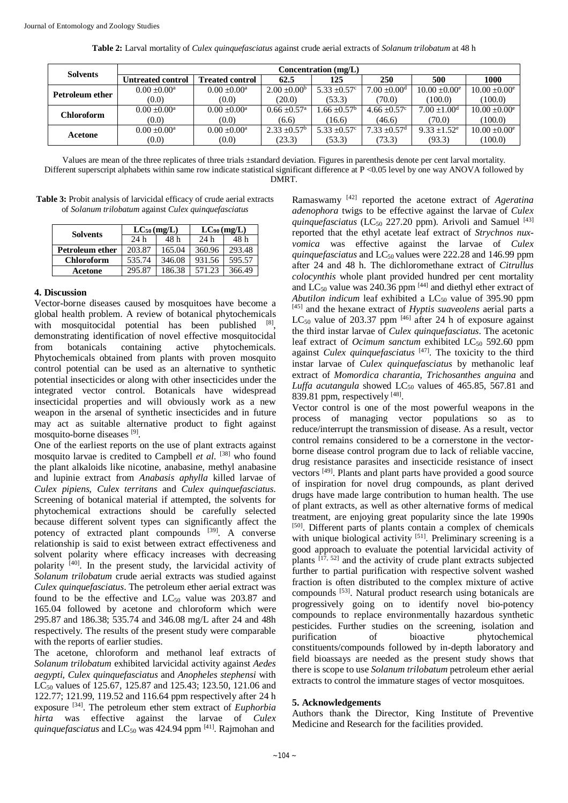| <b>Solvents</b>   | Concentration (mg/L)     |                        |                              |                        |                              |                              |                             |
|-------------------|--------------------------|------------------------|------------------------------|------------------------|------------------------------|------------------------------|-----------------------------|
|                   | <b>Untreated control</b> | <b>Treated control</b> | 62.5                         | 125                    | 250                          | 500                          | 1000                        |
| Petroleum ether   | $0.00 + 0.00^a$          | $0.00 + 0.00^a$        | $2.00 \pm 0.00^b$            | $5.33 \pm 0.57$ °      | $7.00 \pm 0.00$ <sup>d</sup> | $10.00 \pm 0.00^e$           | $10.00 + 0.00$ <sup>e</sup> |
|                   | (0.0)                    | (0.0)                  | (20.0)                       | (53.3)                 | (70.0)                       | (100.0)                      | (100.0)                     |
| <b>Chloroform</b> | $0.00 + 0.00^a$          | $0.00 \pm 0.00^a$      | $0.66 \pm 0.57$ <sup>a</sup> | .66 $\pm 0.57^{\rm b}$ | $4.66 \pm 0.57$ °            | $7.00 \pm 1.00$ <sup>d</sup> | $10.00 \pm 0.00^e$          |
|                   | (0.0)                    | (0.0)                  | (6.6)                        | 16.6)                  | (46.6)                       | (70.0)                       | (100.0)                     |
| Acetone           | $0.00 + 0.00^a$          | $0.00 + 0.00^a$        | $2.33 \pm 0.57^{\rm b}$      | $5.33 + 0.57$ °        | $7.33 + 0.57$ <sup>d</sup>   | $9.33 + 1.52$ <sup>e</sup>   | $10.00 + 0.00^e$            |
|                   | (0.0)                    | (0.0)                  | (23.3)                       | (53.3)                 | (73.3)                       | (93.3)                       | (100.0)                     |

Values are mean of the three replicates of three trials ±standard deviation. Figures in parenthesis denote per cent larval mortality. Different superscript alphabets within same row indicate statistical significant difference at P <0.05 level by one way ANOVA followed by DMRT.

| <b>Table 3:</b> Probit analysis of larvicidal efficacy of crude aerial extracts |  |
|---------------------------------------------------------------------------------|--|
| of Solanum trilobatum against Culex quinquefasciatus                            |  |

|                   | $LC_{50}$ (mg/L) |        | $LC_{90}$ (mg/L) |        |  |
|-------------------|------------------|--------|------------------|--------|--|
| <b>Solvents</b>   | 24h              | 48 h   | 24h              | 48 h   |  |
| Petroleum ether   | 203.87           | 165.04 | 360.96           | 293.48 |  |
| <b>Chloroform</b> | 535.74           | 346.08 | 931.56           | 595.57 |  |
| Acetone           | 295.87           | 186.38 | 571.23           | 366.49 |  |

# **4. Discussion**

Vector-borne diseases caused by mosquitoes have become a global health problem. A review of botanical phytochemicals with mosquitocidal potential has been published [8], demonstrating identification of novel effective mosquitocidal from botanicals containing active phytochemicals. Phytochemicals obtained from plants with proven mosquito control potential can be used as an alternative to synthetic potential insecticides or along with other insecticides under the integrated vector control. Botanicals have widespread insecticidal properties and will obviously work as a new weapon in the arsenal of synthetic insecticides and in future may act as suitable alternative product to fight against mosquito-borne diseases [9].

One of the earliest reports on the use of plant extracts against mosquito larvae is credited to Campbell *et al.* [38] who found the plant alkaloids like nicotine, anabasine, methyl anabasine and lupinie extract from *Anabasis aphylla* killed larvae of *Culex pipiens, Culex territans* and *Culex quinquefasciatus*. Screening of botanical material if attempted, the solvents for phytochemical extractions should be carefully selected because different solvent types can significantly affect the potency of extracted plant compounds [39]. A converse relationship is said to exist between extract effectiveness and solvent polarity where efficacy increases with decreasing polarity [40] . In the present study, the larvicidal activity of *Solanum trilobatum* crude aerial extracts was studied against *Culex quinquefasciatus*. The petroleum ether aerial extract was found to be the effective and  $LC_{50}$  value was 203.87 and 165.04 followed by acetone and chloroform which were 295.87 and 186.38; 535.74 and 346.08 mg/L after 24 and 48h respectively. The results of the present study were comparable with the reports of earlier studies.

The acetone, chloroform and methanol leaf extracts of *Solanum trilobatum* exhibited larvicidal activity against *Aedes aegypti*, *Culex quinquefasciatus* and *Anopheles stephensi* with LC<sub>50</sub> values of 125.67, 125.87 and 125.43; 123.50, 121.06 and 122.77; 121.99, 119.52 and 116.64 ppm respectively after 24 h exposure [34] . The petroleum ether stem extract of *Euphorbia hirta* was effective against the larvae of *Culex* quinquefasciatus and LC<sub>50</sub> was 424.94 ppm [41]. Rajmohan and

Ramaswamy [42] reported the acetone extract of *Ageratina adenophora* twigs to be effective against the larvae of *Culex* quinquefasciatus (LC<sub>50</sub> 227.20 ppm). Arivoli and Samuel [43] reported that the ethyl acetate leaf extract of *Strychnos nuxvomica* was effective against the larvae of *Culex quinquefasciatus* and LC<sub>50</sub> values were 222.28 and 146.99 ppm after 24 and 48 h. The dichloromethane extract of *Citrullus colocynthis* whole plant provided hundred per cent mortality and  $LC_{50}$  value was 240.36 ppm  $^{[44]}$  and diethyl ether extract of *Abutilon indicum* leaf exhibited a  $LC_{50}$  value of 395.90 ppm [45] and the hexane extract of *Hyptis suaveolens* aerial parts a  $LC_{50}$  value of 203.37 ppm  $^{[46]}$  after 24 h of exposure against the third instar larvae of *Culex quinquefasciatus*. The acetonic leaf extract of *Ocimum sanctum* exhibited LC<sub>50</sub> 592.60 ppm against *Culex quinquefasciatus* [47] . The toxicity to the third instar larvae of *Culex quinquefasciatus* by methanolic leaf extract of *Momordica charantia*, *Trichosanthes anguina* and *Luffa acutangula* showed  $LC_{50}$  values of 465.85, 567.81 and 839.81 ppm, respectively  $^{[48]}$ .

Vector control is one of the most powerful weapons in the process of managing vector populations so as to reduce/interrupt the transmission of disease. As a result, vector control remains considered to be a cornerstone in the vectorborne disease control program due to lack of reliable vaccine, drug resistance parasites and insecticide resistance of insect vectors <sup>[49]</sup>. Plants and plant parts have provided a good source of inspiration for novel drug compounds, as plant derived drugs have made large contribution to human health. The use of plant extracts, as well as other alternative forms of medical treatment, are enjoying great popularity since the late 1990s [50]. Different parts of plants contain a complex of chemicals with unique biological activity [51]. Preliminary screening is a good approach to evaluate the potential larvicidal activity of plants<sup>[17, 52]</sup> and the activity of crude plant extracts subjected further to partial purification with respective solvent washed fraction is often distributed to the complex mixture of active compounds <a>[53]</a>. Natural product research using botanicals are progressively going on to identify novel bio-potency compounds to replace environmentally hazardous synthetic pesticides. Further studies on the screening, isolation and purification of bioactive phytochemical constituents/compounds followed by in-depth laboratory and field bioassays are needed as the present study shows that there is scope to use *Solanum trilobatum* petroleum ether aerial extracts to control the immature stages of vector mosquitoes.

# **5. Acknowledgements**

Authors thank the Director, King Institute of Preventive Medicine and Research for the facilities provided.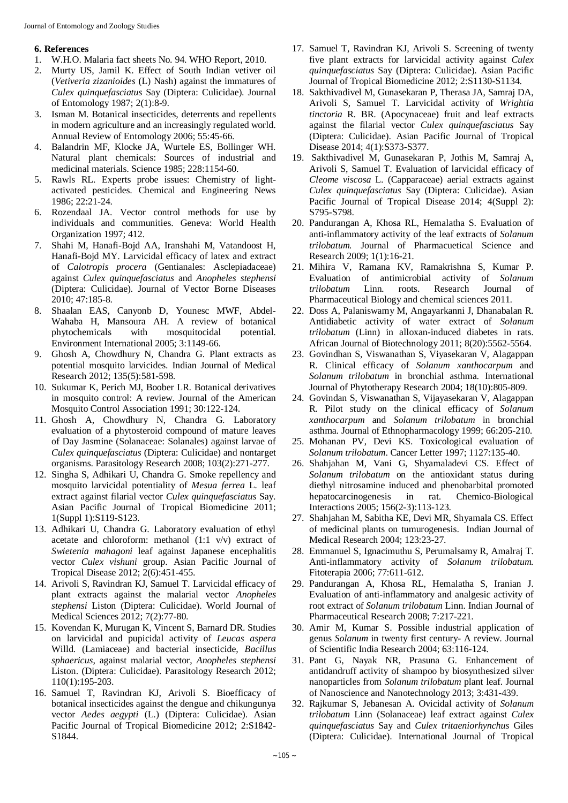### **6. References**

- 1. W.H.O. Malaria fact sheets No. 94. WHO Report, 2010.
- 2. Murty US, Jamil K. Effect of South Indian vetiver oil (*Vetiveria zizanioides* (L) Nash) against the immatures of *Culex quinquefasciatus* Say (Diptera: Culicidae). Journal of Entomology 1987; 2(1):8-9.
- 3. Isman M. Botanical insecticides, deterrents and repellents in modern agriculture and an increasingly regulated world. Annual Review of Entomology 2006; 55:45-66.
- 4. Balandrin MF, Klocke JA, Wurtele ES, Bollinger WH. Natural plant chemicals: Sources of industrial and medicinal materials. Science 1985; 228:1154-60.
- 5. Rawls RL. Experts probe issues: Chemistry of lightactivated pesticides. Chemical and Engineering News 1986; 22:21-24.
- 6. Rozendaal JA. Vector control methods for use by individuals and communities. Geneva: World Health Organization 1997; 412.
- 7. Shahi M, Hanafi-Bojd AA, Iranshahi M, Vatandoost H, Hanafi-Bojd MY. Larvicidal efficacy of latex and extract of *Calotropis procera* (Gentianales: Asclepiadaceae) against *Culex quinquefasciatus* and *Anopheles stephensi* (Diptera: Culicidae). Journal of Vector Borne Diseases 2010; 47:185-8.
- 8. Shaalan EAS, Canyonb D, Younesc MWF, Abdel-Wahaba H, Mansoura AH. A review of botanical phytochemicals with mosquitocidal potential. Environment International 2005; 3:1149-66.
- 9. Ghosh A, Chowdhury N, Chandra G. Plant extracts as potential mosquito larvicides. Indian Journal of Medical Research 2012; 135(5):581-598.
- 10. Sukumar K, Perich MJ, Boober LR. Botanical derivatives in mosquito control: A review. Journal of the American Mosquito Control Association 1991; 30:122-124.
- 11. Ghosh A, Chowdhury N, Chandra G. Laboratory evaluation of a phytosteroid compound of mature leaves of Day Jasmine (Solanaceae: Solanales) against larvae of *Culex quinquefasciatus* (Diptera: Culicidae) and nontarget organisms. Parasitology Research 2008; 103(2):271-277.
- 12. Singha S, Adhikari U, Chandra G. Smoke repellency and mosquito larvicidal potentiality of *Mesua ferrea* L*.* leaf extract against filarial vector *Culex quinquefasciatus* Say. Asian Pacific Journal of Tropical Biomedicine 2011; 1(Suppl 1):S119-S123.
- 13. Adhikari U, Chandra G. Laboratory evaluation of ethyl acetate and chloroform: methanol  $(1:1 \text{ v/v})$  extract of *Swietenia mahagoni* leaf against Japanese encephalitis vector *Culex vishuni* group. Asian Pacific Journal of Tropical Disease 2012; 2(6):451-455.
- 14. Arivoli S, Ravindran KJ, Samuel T. Larvicidal efficacy of plant extracts against the malarial vector *Anopheles stephensi* Liston (Diptera: Culicidae). World Journal of Medical Sciences 2012; 7(2):77-80.
- 15. Kovendan K, Murugan K, Vincent S, Barnard DR. Studies on larvicidal and pupicidal activity of *Leucas aspera* Willd. (Lamiaceae) and bacterial insecticide, *Bacillus sphaericus*, against malarial vector, *Anopheles stephensi* Liston. (Diptera: Culicidae). Parasitology Research 2012; 110(1):195-203.
- 16. Samuel T, Ravindran KJ, Arivoli S. Bioefficacy of botanical insecticides against the dengue and chikungunya vector *Aedes aegypti* (L.) (Diptera: Culicidae). Asian Pacific Journal of Tropical Biomedicine 2012; 2:S1842- S1844.
- 17. Samuel T, Ravindran KJ, Arivoli S. Screening of twenty five plant extracts for larvicidal activity against *Culex quinquefasciatus* Say (Diptera: Culicidae). Asian Pacific Journal of Tropical Biomedicine 2012; 2:S1130-S1134.
- 18. Sakthivadivel M, Gunasekaran P, Therasa JA, Samraj DA, Arivoli S, Samuel T. Larvicidal activity of *Wrightia tinctoria* R. BR. (Apocynaceae) fruit and leaf extracts against the filarial vector *Culex quinquefasciatus* Say (Diptera: Culicidae). Asian Pacific Journal of Tropical Disease 2014; 4(1):S373-S377.
- 19. Sakthivadivel M, Gunasekaran P, Jothis M, Samraj A, Arivoli S, Samuel T. Evaluation of larvicidal efficacy of *Cleome viscosa* L. (Capparaceae) aerial extracts against *Culex quinquefasciatus* Say (Diptera: Culicidae). Asian Pacific Journal of Tropical Disease 2014; 4(Suppl 2): S795-S798.
- 20. Pandurangan A, Khosa RL, Hemalatha S. Evaluation of anti-inflammatory activity of the leaf extracts of *Solanum trilobatum.* Journal of Pharmacuetical Science and Research 2009; 1(1):16-21.
- 21. Mihira V, Ramana KV, Ramakrishna S, Kumar P. Evaluation of antimicrobial activity of *Solanum trilobatum* Linn*.* roots. Research Journal of Pharmaceutical Biology and chemical sciences 2011.
- 22. Doss A, Palaniswamy M, Angayarkanni J, Dhanabalan R. Antidiabetic activity of water extract of *Solanum trilobatum* (Linn) in alloxan-induced diabetes in rats. African Journal of Biotechnology 2011; 8(20):5562-5564.
- 23. Govindhan S, Viswanathan S, Viyasekaran V, Alagappan R. Clinical efficacy of *Solanum xanthocarpum* and *Solanum trilobatum* in bronchial asthma. International Journal of Phytotherapy Research 2004; 18(10):805-809.
- 24. Govindan S, Viswanathan S, Vijayasekaran V, Alagappan R. Pilot study on the clinical efficacy of *Solanum xanthocarpum* and *Solanum trilobatum* in bronchial asthma. Journal of Ethnopharmacology 1999; 66:205-210.
- 25. Mohanan PV, Devi KS. Toxicological evaluation of *Solanum trilobatum*. Cancer Letter 1997; 1127:135-40.
- 26. Shahjahan M, Vani G, Shyamaladevi CS. Effect of *Solanum trilobatum* on the antioxidant status during diethyl nitrosamine induced and phenobarbital promoted hepatocarcinogenesis in rat. Chemico-Biological Interactions 2005; 156(2-3):113-123.
- 27. Shahjahan M, Sabitha KE, Devi MR, Shyamala CS. Effect of medicinal plants on tumurogenesis. Indian Journal of Medical Research 2004; 123:23-27.
- 28. Emmanuel S, Ignacimuthu S, Perumalsamy R, Amalraj T. Anti-inflammatory activity of *Solanum trilobatum.* Fitoterapia 2006; 77:611-612.
- 29. Pandurangan A, Khosa RL, Hemalatha S, Iranian J. Evaluation of anti-inflammatory and analgesic activity of root extract of *Solanum trilobatum* Linn. Indian Journal of Pharmaceutical Research 2008; 7:217-221.
- 30. Amir M, Kumar S. Possible industrial application of genus *Solanum* in twenty first century- A review. Journal of Scientific India Research 2004; 63:116-124.
- 31. Pant G, Nayak NR, Prasuna G. Enhancement of antidandruff activity of shampoo by biosynthesized silver nanoparticles from *Solanum trilobatum* plant leaf. Journal of Nanoscience and Nanotechnology 2013; 3:431-439.
- 32. Rajkumar S, Jebanesan A. Ovicidal activity of *Solanum trilobatum* Linn (Solanaceae) leaf extract against *Culex quinquefasciatus* Say and *Culex tritaeniorhynchus* Giles (Diptera: Culicidae). International Journal of Tropical